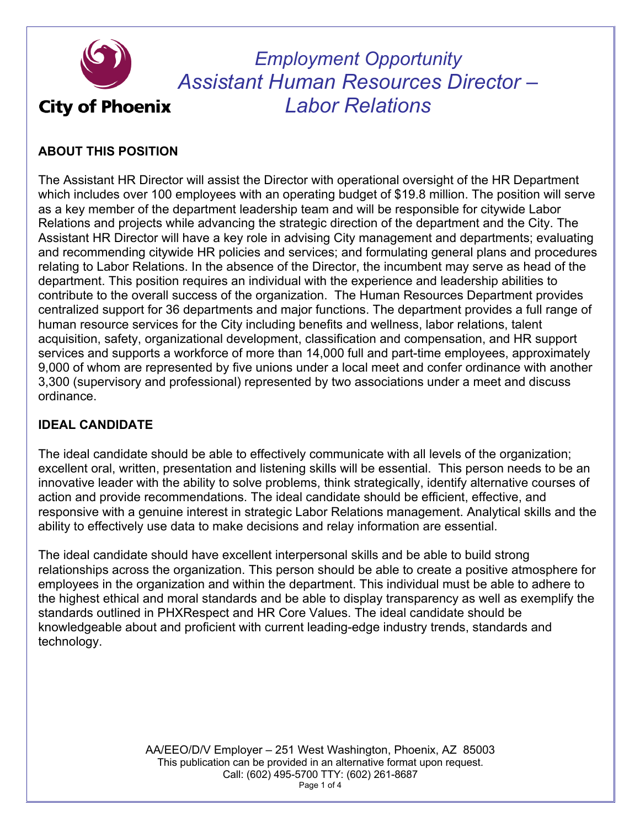

*Employment Opportunity Assistant Human Resources Director – Labor Relations*

# **ABOUT THIS POSITION**

The Assistant HR Director will assist the Director with operational oversight of the HR Department which includes over 100 employees with an operating budget of \$19.8 million. The position will serve as a key member of the department leadership team and will be responsible for citywide Labor Relations and projects while advancing the strategic direction of the department and the City. The Assistant HR Director will have a key role in advising City management and departments; evaluating and recommending citywide HR policies and services; and formulating general plans and procedures relating to Labor Relations. In the absence of the Director, the incumbent may serve as head of the department. This position requires an individual with the experience and leadership abilities to contribute to the overall success of the organization. The Human Resources Department provides centralized support for 36 departments and major functions. The department provides a full range of human resource services for the City including benefits and wellness, labor relations, talent acquisition, safety, organizational development, classification and compensation, and HR support services and supports a workforce of more than 14,000 full and part-time employees, approximately 9,000 of whom are represented by five unions under a local meet and confer ordinance with another 3,300 (supervisory and professional) represented by two associations under a meet and discuss ordinance.

# **IDEAL CANDIDATE**

The ideal candidate should be able to effectively communicate with all levels of the organization; excellent oral, written, presentation and listening skills will be essential. This person needs to be an innovative leader with the ability to solve problems, think strategically, identify alternative courses of action and provide recommendations. The ideal candidate should be efficient, effective, and responsive with a genuine interest in strategic Labor Relations management. Analytical skills and the ability to effectively use data to make decisions and relay information are essential.

The ideal candidate should have excellent interpersonal skills and be able to build strong relationships across the organization. This person should be able to create a positive atmosphere for employees in the organization and within the department. This individual must be able to adhere to the highest ethical and moral standards and be able to display transparency as well as exemplify the standards outlined in PHXRespect and HR Core Values. The ideal candidate should be knowledgeable about and proficient with current leading-edge industry trends, standards and technology.

> AA/EEO/D/V Employer – 251 West Washington, Phoenix, AZ 85003 This publication can be provided in an alternative format upon request. Call: (602) 495-5700 TTY: (602) 261-8687 Page 1 of 4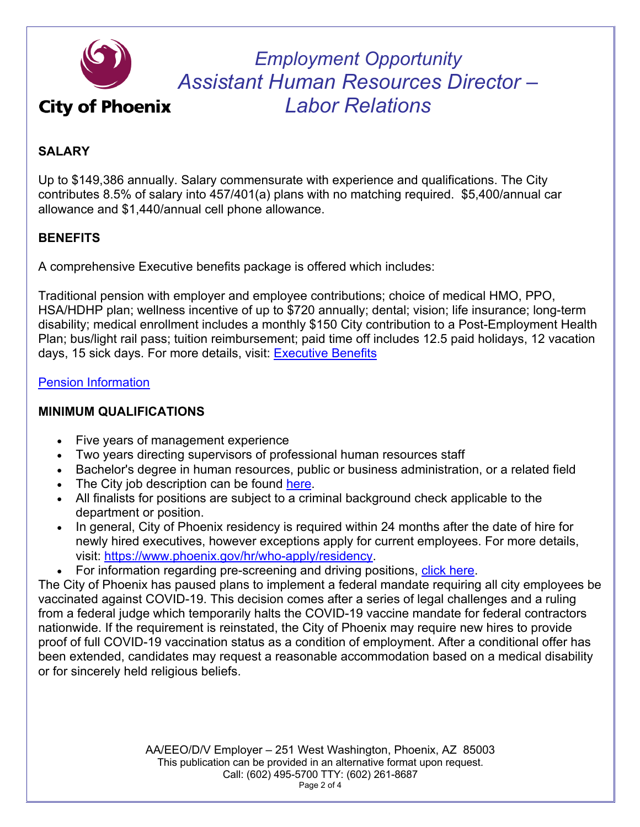

**City of Phoenix** 

*Employment Opportunity Assistant Human Resources Director – Labor Relations*

# **SALARY**

Up to \$149,386 annually. Salary commensurate with experience and qualifications. The City contributes 8.5% of salary into 457/401(a) plans with no matching required. \$5,400/annual car allowance and \$1,440/annual cell phone allowance.

## **BENEFITS**

A comprehensive Executive benefits package is offered which includes:

Traditional pension with employer and employee contributions; choice of medical HMO, PPO, HSA/HDHP plan; wellness incentive of up to \$720 annually; dental; vision; life insurance; long-term disability; medical enrollment includes a monthly \$150 City contribution to a Post-Employment Health Plan; bus/light rail pass; tuition reimbursement; paid time off includes 12.5 paid holidays, 12 vacation days, 15 sick days. For more details, visit: **Executive Benefits** 

#### Pension Information

### **MINIMUM QUALIFICATIONS**

- Five years of management experience
- Two years directing supervisors of professional human resources staff
- Bachelor's degree in human resources, public or business administration, or a related field
- The City job description can be found here.
- All finalists for positions are subject to a criminal background check applicable to the department or position.
- In general, City of Phoenix residency is required within 24 months after the date of hire for newly hired executives, however exceptions apply for current employees. For more details, visit: https://www.phoenix.gov/hr/who-apply/residency.
- For information regarding pre-screening and driving positions, click here.

The City of Phoenix has paused plans to implement a federal mandate requiring all city employees be vaccinated against COVID-19. This decision comes after a series of legal challenges and a ruling from a federal judge which temporarily halts the COVID-19 vaccine mandate for federal contractors nationwide. If the requirement is reinstated, the City of Phoenix may require new hires to provide proof of full COVID-19 vaccination status as a condition of employment. After a conditional offer has been extended, candidates may request a reasonable accommodation based on a medical disability or for sincerely held religious beliefs.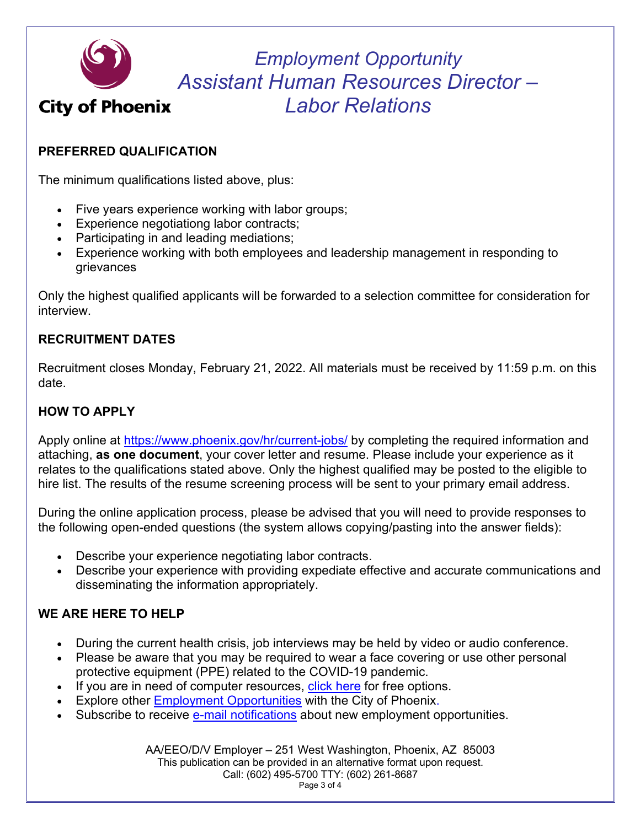

**City of Phoenix** 

*Employment Opportunity Assistant Human Resources Director – Labor Relations*

## **PREFERRED QUALIFICATION**

The minimum qualifications listed above, plus:

- Five years experience working with labor groups;
- Experience negotiationg labor contracts;
- Participating in and leading mediations;
- Experience working with both employees and leadership management in responding to grievances

Only the highest qualified applicants will be forwarded to a selection committee for consideration for interview.

### **RECRUITMENT DATES**

Recruitment closes Monday, February 21, 2022. All materials must be received by 11:59 p.m. on this date.

### **HOW TO APPLY**

Apply online at https://www.phoenix.gov/hr/current-jobs/ by completing the required information and attaching, **as one document**, your cover letter and resume. Please include your experience as it relates to the qualifications stated above. Only the highest qualified may be posted to the eligible to hire list. The results of the resume screening process will be sent to your primary email address.

During the online application process, please be advised that you will need to provide responses to the following open-ended questions (the system allows copying/pasting into the answer fields):

- Describe your experience negotiating labor contracts.
- Describe your experience with providing expediate effective and accurate communications and disseminating the information appropriately.

## **WE ARE HERE TO HELP**

- During the current health crisis, job interviews may be held by video or audio conference.
- Please be aware that you may be required to wear a face covering or use other personal protective equipment (PPE) related to the COVID-19 pandemic.
- If you are in need of computer resources, click here for free options.
- Explore other Employment Opportunities with the City of Phoenix.
- Subscribe to receive e-mail notifications about new employment opportunities.

AA/EEO/D/V Employer – 251 West Washington, Phoenix, AZ 85003 This publication can be provided in an alternative format upon request. Call: (602) 495-5700 TTY: (602) 261-8687